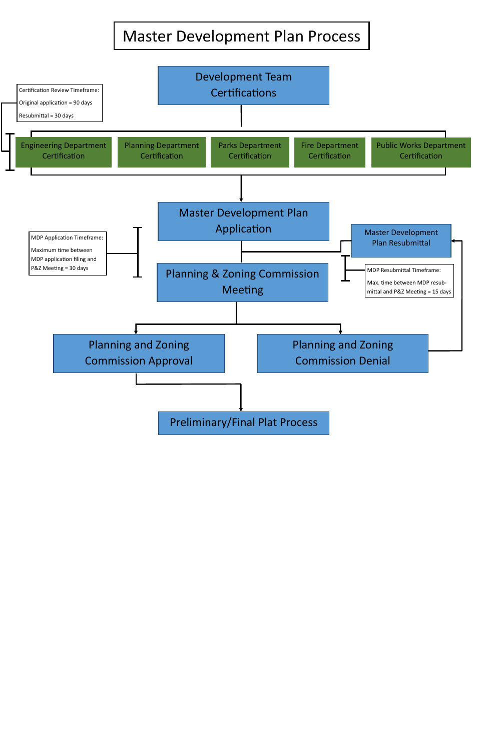## Master Development Plan Process

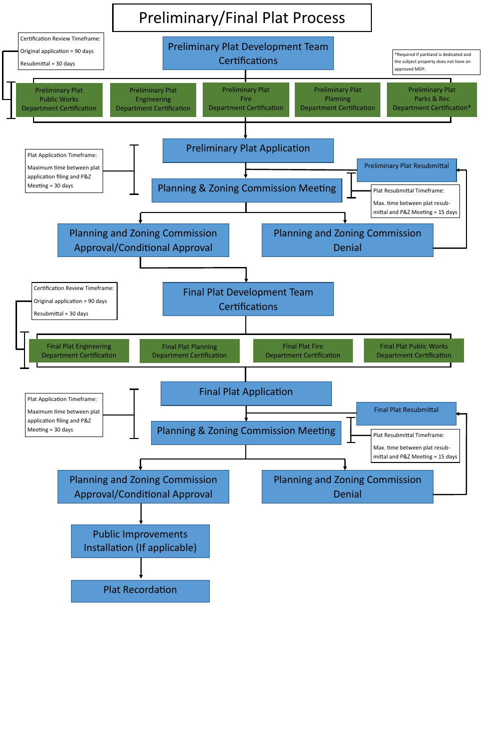

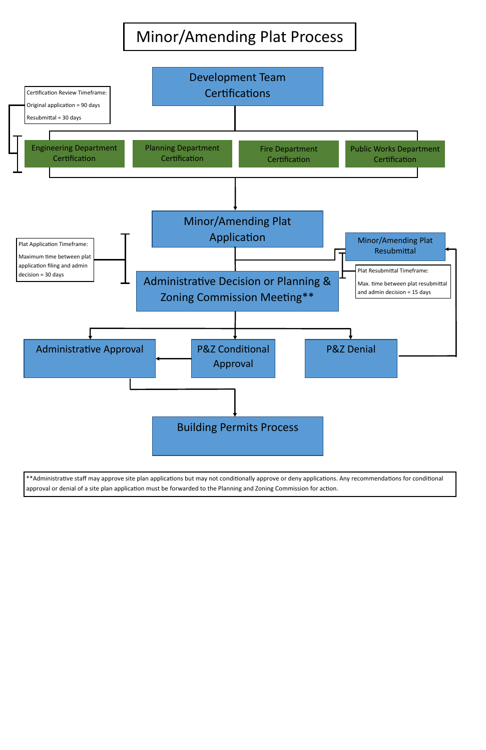## Minor/Amending Plat Process



\*\*Administrative staff may approve site plan applications but may not conditionally approve or deny applications. Any recommendations for conditional approval or denial of a site plan application must be forwarded to the Planning and Zoning Commission for action.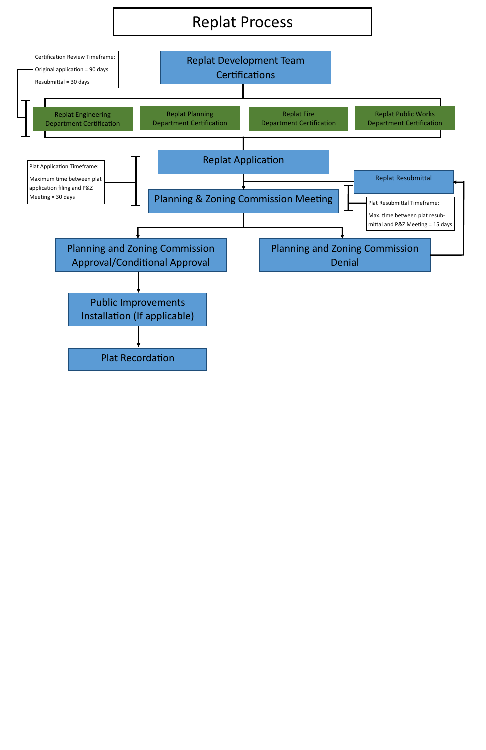## Replat Process

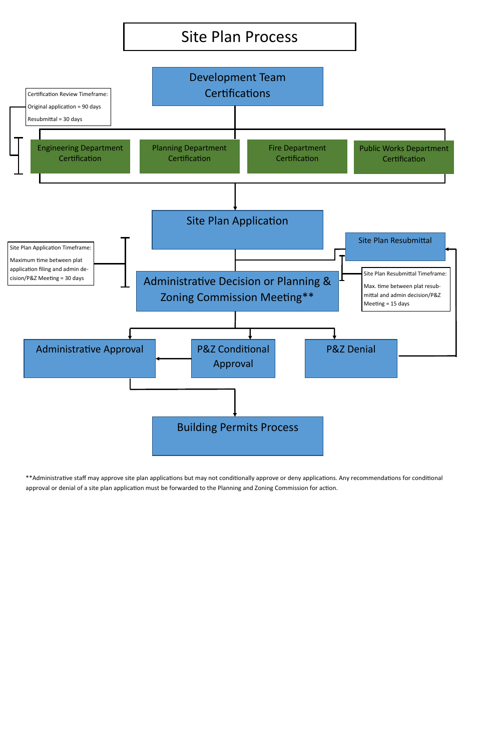## Site Plan Process



\*\*Administrative staff may approve site plan applications but may not conditionally approve or deny applications. Any recommendations for conditional approval or denial of a site plan application must be forwarded to the Planning and Zoning Commission for action.